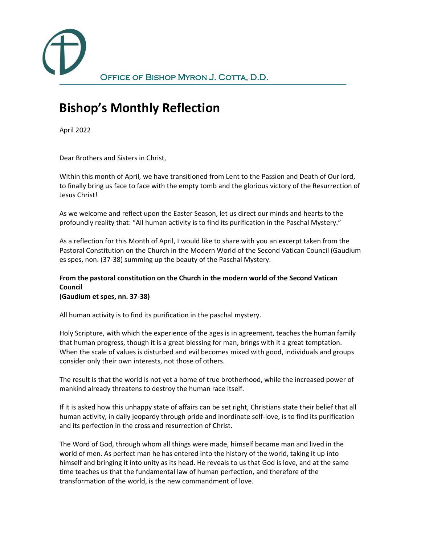

## **Bishop's Monthly Reflection**

April 2022

Dear Brothers and Sisters in Christ,

Within this month of April, we have transitioned from Lent to the Passion and Death of Our lord, to finally bring us face to face with the empty tomb and the glorious victory of the Resurrection of Jesus Christ!

As we welcome and reflect upon the Easter Season, let us direct our minds and hearts to the profoundly reality that: "All human activity is to find its purification in the Paschal Mystery."

As a reflection for this Month of April, I would like to share with you an excerpt taken from the Pastoral Constitution on the Church in the Modern World of the Second Vatican Council (Gaudium es spes, non. (37-38) summing up the beauty of the Paschal Mystery.

## **From the pastoral constitution on the Church in the modern world of the Second Vatican Council**

**(Gaudium et spes, nn. 37-38)**

All human activity is to find its purification in the paschal mystery.

Holy Scripture, with which the experience of the ages is in agreement, teaches the human family that human progress, though it is a great blessing for man, brings with it a great temptation. When the scale of values is disturbed and evil becomes mixed with good, individuals and groups consider only their own interests, not those of others.

The result is that the world is not yet a home of true brotherhood, while the increased power of mankind already threatens to destroy the human race itself.

If it is asked how this unhappy state of affairs can be set right, Christians state their belief that all human activity, in daily jeopardy through pride and inordinate self-love, is to find its purification and its perfection in the cross and resurrection of Christ.

The Word of God, through whom all things were made, himself became man and lived in the world of men. As perfect man he has entered into the history of the world, taking it up into himself and bringing it into unity as its head. He reveals to us that God is love, and at the same time teaches us that the fundamental law of human perfection, and therefore of the transformation of the world, is the new commandment of love.